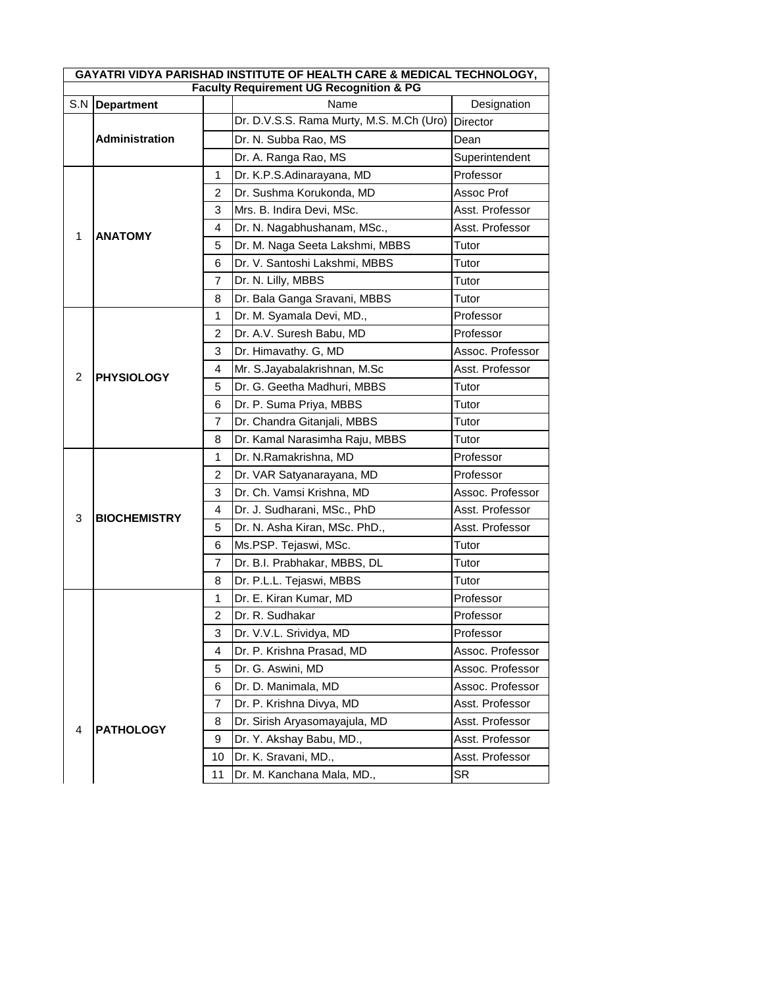| GAYATRI VIDYA PARISHAD INSTITUTE OF HEALTH CARE & MEDICAL TECHNOLOGY, |                       |                |                                                    |                  |  |
|-----------------------------------------------------------------------|-----------------------|----------------|----------------------------------------------------|------------------|--|
|                                                                       |                       |                | <b>Faculty Requirement UG Recognition &amp; PG</b> |                  |  |
| S.N                                                                   | <b>Department</b>     |                | Name<br>Dr. D.V.S.S. Rama Murty, M.S. M.Ch (Uro)   | Designation      |  |
|                                                                       |                       |                |                                                    | <b>Director</b>  |  |
|                                                                       | <b>Administration</b> |                | Dr. N. Subba Rao, MS                               | Dean             |  |
|                                                                       |                       |                | Dr. A. Ranga Rao, MS                               | Superintendent   |  |
|                                                                       |                       | $\mathbf{1}$   | Dr. K.P.S.Adinarayana, MD                          | Professor        |  |
|                                                                       | <b>ANATOMY</b>        | 2              | Dr. Sushma Korukonda, MD                           | Assoc Prof       |  |
|                                                                       |                       | 3              | Mrs. B. Indira Devi, MSc.                          | Asst. Professor  |  |
| 1                                                                     |                       | 4              | Dr. N. Nagabhushanam, MSc.,                        | Asst. Professor  |  |
|                                                                       |                       | 5              | Dr. M. Naga Seeta Lakshmi, MBBS                    | Tutor            |  |
|                                                                       |                       | 6              | Dr. V. Santoshi Lakshmi, MBBS                      | Tutor            |  |
|                                                                       |                       | 7              | Dr. N. Lilly, MBBS                                 | Tutor            |  |
|                                                                       |                       | 8              | Dr. Bala Ganga Sravani, MBBS                       | Tutor            |  |
|                                                                       |                       | 1              | Dr. M. Syamala Devi, MD.,                          | Professor        |  |
|                                                                       |                       | 2              | Dr. A.V. Suresh Babu, MD                           | Professor        |  |
|                                                                       |                       | 3              | Dr. Himavathy. G, MD                               | Assoc. Professor |  |
| 2                                                                     | <b>PHYSIOLOGY</b>     | 4              | Mr. S.Jayabalakrishnan, M.Sc                       | Asst. Professor  |  |
|                                                                       |                       | 5              | Dr. G. Geetha Madhuri, MBBS                        | Tutor            |  |
|                                                                       |                       | 6              | Dr. P. Suma Priya, MBBS                            | Tutor            |  |
|                                                                       |                       | 7              | Dr. Chandra Gitanjali, MBBS                        | Tutor            |  |
|                                                                       |                       | 8              | Dr. Kamal Narasimha Raju, MBBS                     | Tutor            |  |
|                                                                       | <b>BIOCHEMISTRY</b>   | 1              | Dr. N.Ramakrishna, MD                              | Professor        |  |
|                                                                       |                       | 2              | Dr. VAR Satyanarayana, MD                          | Professor        |  |
|                                                                       |                       | 3              | Dr. Ch. Vamsi Krishna, MD                          | Assoc. Professor |  |
|                                                                       |                       | 4              | Dr. J. Sudharani, MSc., PhD                        | Asst. Professor  |  |
| 3                                                                     |                       | 5              | Dr. N. Asha Kiran, MSc. PhD.,                      | Asst. Professor  |  |
|                                                                       |                       | 6              | Ms.PSP. Tejaswi, MSc.                              | Tutor            |  |
|                                                                       |                       | 7              | Dr. B.I. Prabhakar, MBBS, DL                       | Tutor            |  |
|                                                                       |                       | 8              | Dr. P.L.L. Tejaswi, MBBS                           | Tutor            |  |
|                                                                       |                       | 1              | Dr. E. Kiran Kumar, MD                             | Professor        |  |
|                                                                       |                       | $\overline{2}$ | Dr. R. Sudhakar                                    | Professor        |  |
|                                                                       |                       | 3              | Dr. V.V.L. Srividya, MD                            | Professor        |  |
|                                                                       |                       | 4              | Dr. P. Krishna Prasad, MD                          | Assoc. Professor |  |
|                                                                       |                       | 5              | Dr. G. Aswini, MD                                  | Assoc. Professor |  |
|                                                                       |                       | 6              | Dr. D. Manimala, MD                                | Assoc. Professor |  |
|                                                                       | <b>PATHOLOGY</b>      | 7              | Dr. P. Krishna Divya, MD                           | Asst. Professor  |  |
|                                                                       |                       | 8              | Dr. Sirish Aryasomayajula, MD                      | Asst. Professor  |  |
| 4                                                                     |                       | 9              | Dr. Y. Akshay Babu, MD.,                           | Asst. Professor  |  |
|                                                                       |                       | 10             | Dr. K. Sravani, MD.,                               | Asst. Professor  |  |
|                                                                       |                       | 11             | Dr. M. Kanchana Mala, MD.,                         | <b>SR</b>        |  |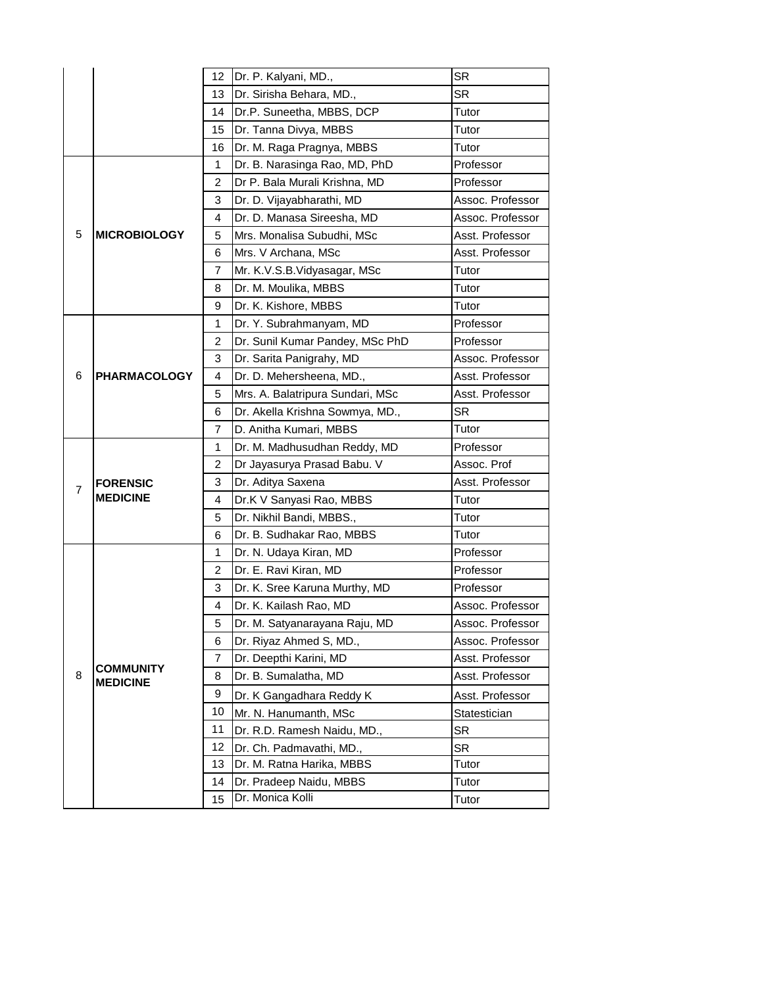|                |                                     | 12             | Dr. P. Kalyani, MD.,             | <b>SR</b>        |
|----------------|-------------------------------------|----------------|----------------------------------|------------------|
|                |                                     | 13             | Dr. Sirisha Behara, MD.,         | <b>SR</b>        |
|                |                                     | 14             | Dr.P. Suneetha, MBBS, DCP        | Tutor            |
|                |                                     | 15             | Dr. Tanna Divya, MBBS            | Tutor            |
|                |                                     | 16             | Dr. M. Raga Pragnya, MBBS        | Tutor            |
|                |                                     | 1              | Dr. B. Narasinga Rao, MD, PhD    | Professor        |
|                |                                     | 2              | Dr P. Bala Murali Krishna, MD    | Professor        |
|                |                                     | 3              | Dr. D. Vijayabharathi, MD        | Assoc. Professor |
|                |                                     | 4              | Dr. D. Manasa Sireesha, MD       | Assoc. Professor |
| 5              | <b>MICROBIOLOGY</b>                 | 5              | Mrs. Monalisa Subudhi, MSc       | Asst. Professor  |
|                |                                     | 6              | Mrs. V Archana, MSc              | Asst. Professor  |
|                |                                     | $\overline{7}$ | Mr. K.V.S.B.Vidyasagar, MSc      | Tutor            |
|                |                                     | 8              | Dr. M. Moulika, MBBS             | Tutor            |
|                |                                     | 9              | Dr. K. Kishore, MBBS             | Tutor            |
|                |                                     | 1              | Dr. Y. Subrahmanyam, MD          | Professor        |
|                |                                     | 2              | Dr. Sunil Kumar Pandey, MSc PhD  | Professor        |
|                |                                     | 3              | Dr. Sarita Panigrahy, MD         | Assoc. Professor |
| 6              | <b>PHARMACOLOGY</b>                 | 4              | Dr. D. Mehersheena, MD.,         | Asst. Professor  |
|                |                                     | 5              | Mrs. A. Balatripura Sundari, MSc | Asst. Professor  |
|                |                                     | 6              | Dr. Akella Krishna Sowmya, MD.,  | <b>SR</b>        |
|                |                                     | 7              | D. Anitha Kumari, MBBS           | Tutor            |
|                | <b>FORENSIC</b><br><b>MEDICINE</b>  | 1              | Dr. M. Madhusudhan Reddy, MD     | Professor        |
|                |                                     | $\overline{c}$ | Dr Jayasurya Prasad Babu. V      | Assoc. Prof      |
| $\overline{7}$ |                                     | 3              | Dr. Aditya Saxena                | Asst. Professor  |
|                |                                     | 4              | Dr.K V Sanyasi Rao, MBBS         | Tutor            |
|                |                                     | 5              | Dr. Nikhil Bandi, MBBS.,         | Tutor            |
|                |                                     | 6              | Dr. B. Sudhakar Rao, MBBS        | Tutor            |
|                |                                     | 1              | Dr. N. Udaya Kiran, MD           | Professor        |
|                |                                     | 2              | Dr. E. Ravi Kiran, MD            | Professor        |
|                |                                     | 3              | Dr. K. Sree Karuna Murthy, MD    | Professor        |
|                |                                     | 4              | Dr. K. Kailash Rao, MD           | Assoc. Professor |
|                |                                     | 5              | Dr. M. Satyanarayana Raju, MD    | Assoc. Professor |
|                |                                     | 6              | Dr. Riyaz Ahmed S, MD.,          | Assoc. Professor |
|                |                                     | 7              | Dr. Deepthi Karini, MD           | Asst. Professor  |
| 8              | <b>COMMUNITY</b><br><b>MEDICINE</b> | 8              | Dr. B. Sumalatha, MD             | Asst. Professor  |
|                |                                     | 9              | Dr. K Gangadhara Reddy K         | Asst. Professor  |
|                |                                     | 10             | Mr. N. Hanumanth, MSc            | Statestician     |
|                |                                     | 11             | Dr. R.D. Ramesh Naidu, MD.,      | <b>SR</b>        |
|                |                                     | 12             | Dr. Ch. Padmavathi, MD.,         | <b>SR</b>        |
|                |                                     | 13             | Dr. M. Ratna Harika, MBBS        | Tutor            |
|                |                                     | 14             | Dr. Pradeep Naidu, MBBS          | Tutor            |
|                |                                     | 15             | Dr. Monica Kolli                 | Tutor            |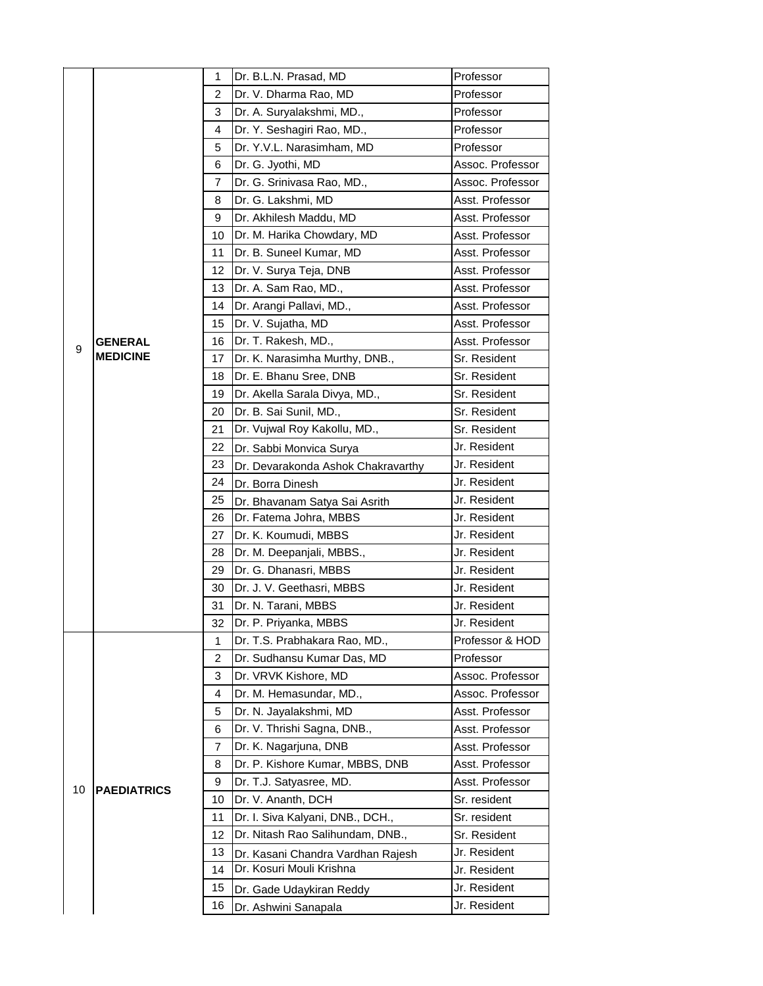|    |                    | 1  | Dr. B.L.N. Prasad, MD              | Professor        |
|----|--------------------|----|------------------------------------|------------------|
|    |                    | 2  | Dr. V. Dharma Rao, MD              | Professor        |
|    |                    | 3  | Dr. A. Suryalakshmi, MD.,          | Professor        |
|    |                    | 4  | Dr. Y. Seshagiri Rao, MD.,         | Professor        |
|    |                    | 5  | Dr. Y.V.L. Narasimham, MD          | Professor        |
|    |                    | 6  | Dr. G. Jyothi, MD                  | Assoc. Professor |
|    |                    | 7  | Dr. G. Srinivasa Rao, MD.,         | Assoc. Professor |
|    |                    | 8  | Dr. G. Lakshmi, MD                 | Asst. Professor  |
|    |                    | 9  | Dr. Akhilesh Maddu, MD             | Asst. Professor  |
|    |                    | 10 | Dr. M. Harika Chowdary, MD         | Asst. Professor  |
|    |                    | 11 | Dr. B. Suneel Kumar, MD            | Asst. Professor  |
|    |                    | 12 | Dr. V. Surya Teja, DNB             | Asst. Professor  |
|    |                    | 13 | Dr. A. Sam Rao, MD.,               | Asst. Professor  |
|    |                    | 14 | Dr. Arangi Pallavi, MD.,           | Asst. Professor  |
|    |                    | 15 | Dr. V. Sujatha, MD                 | Asst. Professor  |
| 9  | <b>GENERAL</b>     | 16 | Dr. T. Rakesh, MD.,                | Asst. Professor  |
|    | <b>MEDICINE</b>    | 17 | Dr. K. Narasimha Murthy, DNB.,     | Sr. Resident     |
|    |                    | 18 | Dr. E. Bhanu Sree, DNB             | Sr. Resident     |
|    |                    | 19 | Dr. Akella Sarala Divya, MD.,      | Sr. Resident     |
|    |                    | 20 | Dr. B. Sai Sunil, MD.,             | Sr. Resident     |
|    |                    | 21 | Dr. Vujwal Roy Kakollu, MD.,       | Sr. Resident     |
|    |                    | 22 | Dr. Sabbi Monvica Surya            | Jr. Resident     |
|    |                    | 23 | Dr. Devarakonda Ashok Chakravarthy | Jr. Resident     |
|    |                    | 24 | Dr. Borra Dinesh                   | Jr. Resident     |
|    |                    | 25 | Dr. Bhavanam Satya Sai Asrith      | Jr. Resident     |
|    |                    | 26 | Dr. Fatema Johra, MBBS             | Jr. Resident     |
|    |                    | 27 | Dr. K. Koumudi, MBBS               | Jr. Resident     |
|    |                    | 28 | Dr. M. Deepanjali, MBBS.,          | Jr. Resident     |
|    |                    | 29 | Dr. G. Dhanasri, MBBS              | Jr. Resident     |
|    |                    | 30 | Dr. J. V. Geethasri, MBBS          | Jr. Resident     |
|    |                    | 31 | Dr. N. Tarani, MBBS                | Jr. Resident     |
|    |                    | 32 | Dr. P. Priyanka, MBBS              | Jr. Resident     |
|    |                    | 1  | Dr. T.S. Prabhakara Rao, MD.,      | Professor & HOD  |
|    |                    | 2  | Dr. Sudhansu Kumar Das, MD         | Professor        |
|    |                    | 3  | Dr. VRVK Kishore, MD               | Assoc. Professor |
|    |                    | 4  | Dr. M. Hemasundar, MD.,            | Assoc. Professor |
|    |                    | 5  | Dr. N. Jayalakshmi, MD             | Asst. Professor  |
|    |                    | 6  | Dr. V. Thrishi Sagna, DNB.,        | Asst. Professor  |
|    |                    | 7  | Dr. K. Nagarjuna, DNB              | Asst. Professor  |
| 10 |                    | 8  | Dr. P. Kishore Kumar, MBBS, DNB    | Asst. Professor  |
|    | <b>PAEDIATRICS</b> | 9  | Dr. T.J. Satyasree, MD.            | Asst. Professor  |
|    |                    | 10 | Dr. V. Ananth, DCH                 | Sr. resident     |
|    |                    | 11 | Dr. I. Siva Kalyani, DNB., DCH.,   | Sr. resident     |
|    |                    | 12 | Dr. Nitash Rao Salihundam, DNB.,   | Sr. Resident     |
|    |                    | 13 | Dr. Kasani Chandra Vardhan Rajesh  | Jr. Resident     |
|    |                    | 14 | Dr. Kosuri Mouli Krishna           | Jr. Resident     |
|    |                    | 15 | Dr. Gade Udaykiran Reddy           | Jr. Resident     |
|    |                    | 16 | Dr. Ashwini Sanapala               | Jr. Resident     |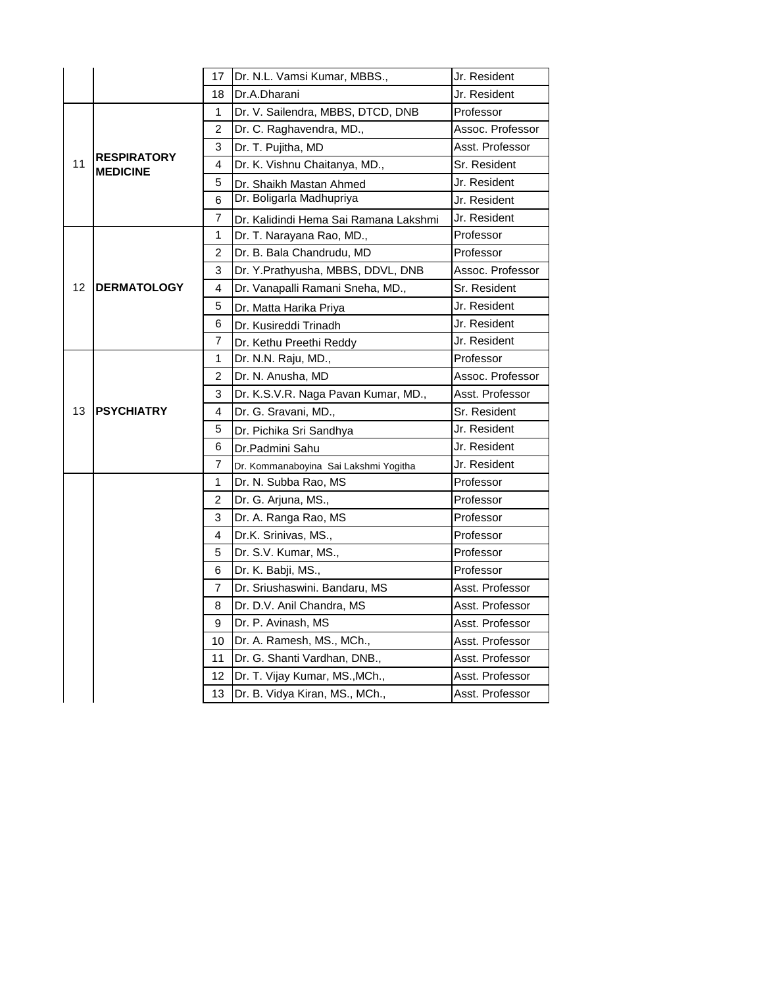|    |                                       | 17             | Dr. N.L. Vamsi Kumar, MBBS.,          | Jr. Resident     |
|----|---------------------------------------|----------------|---------------------------------------|------------------|
|    |                                       | 18             | Dr.A.Dharani                          | Jr. Resident     |
|    |                                       | 1              | Dr. V. Sailendra, MBBS, DTCD, DNB     | Professor        |
|    |                                       | 2              | Dr. C. Raghavendra, MD.,              | Assoc. Professor |
|    |                                       | 3              | Dr. T. Pujitha, MD                    | Asst. Professor  |
| 11 | <b>RESPIRATORY</b><br><b>MEDICINE</b> | 4              | Dr. K. Vishnu Chaitanya, MD.,         | Sr. Resident     |
|    |                                       | 5              | Dr. Shaikh Mastan Ahmed               | Jr. Resident     |
|    |                                       | 6              | Dr. Boligarla Madhupriya              | Jr. Resident     |
|    |                                       | 7              | Dr. Kalidindi Hema Sai Ramana Lakshmi | Jr. Resident     |
|    |                                       | 1              | Dr. T. Narayana Rao, MD.,             | Professor        |
|    |                                       | 2              | Dr. B. Bala Chandrudu, MD             | Professor        |
|    |                                       | 3              | Dr. Y.Prathyusha, MBBS, DDVL, DNB     | Assoc. Professor |
| 12 | <b>IDERMATOLOGY</b>                   | 4              | Dr. Vanapalli Ramani Sneha, MD.,      | Sr. Resident     |
|    |                                       | 5              | Dr. Matta Harika Priya                | Jr. Resident     |
|    |                                       | 6              | Dr. Kusireddi Trinadh                 | Jr. Resident     |
|    |                                       | 7              | Dr. Kethu Preethi Reddy               | Jr. Resident     |
|    |                                       | 1              | Dr. N.N. Raju, MD.,                   | Professor        |
|    |                                       | $\overline{c}$ | Dr. N. Anusha, MD                     | Assoc. Professor |
|    |                                       | 3              | Dr. K.S.V.R. Naga Pavan Kumar, MD.,   | Asst. Professor  |
| 13 | <b>IPSYCHIATRY</b>                    | 4              | Dr. G. Sravani, MD.,                  | Sr. Resident     |
|    |                                       | 5              | Dr. Pichika Sri Sandhya               | Jr. Resident     |
|    |                                       | 6              | Dr.Padmini Sahu                       | Jr. Resident     |
|    |                                       | 7              | Dr. Kommanaboyina Sai Lakshmi Yogitha | Jr. Resident     |
|    |                                       | 1              | Dr. N. Subba Rao, MS                  | Professor        |
|    |                                       | 2              | Dr. G. Arjuna, MS.,                   | Professor        |
|    |                                       | 3              | Dr. A. Ranga Rao, MS                  | Professor        |
|    |                                       | 4              | Dr.K. Srinivas, MS.,                  | Professor        |
|    |                                       | 5              | Dr. S.V. Kumar, MS.,                  | Professor        |
|    |                                       | 6              | Dr. K. Babji, MS.,                    | Professor        |
|    |                                       | 7              | Dr. Sriushaswini. Bandaru, MS         | Asst. Professor  |
|    |                                       | 8              | Dr. D.V. Anil Chandra, MS             | Asst. Professor  |
|    |                                       | 9              | Dr. P. Avinash, MS                    | Asst. Professor  |
|    |                                       | 10             | Dr. A. Ramesh, MS., MCh.,             | Asst. Professor  |
|    |                                       | 11             | Dr. G. Shanti Vardhan, DNB.,          | Asst. Professor  |
|    |                                       | 12             | Dr. T. Vijay Kumar, MS., MCh.,        | Asst. Professor  |
|    |                                       | 13             | Dr. B. Vidya Kiran, MS., MCh.,        | Asst. Professor  |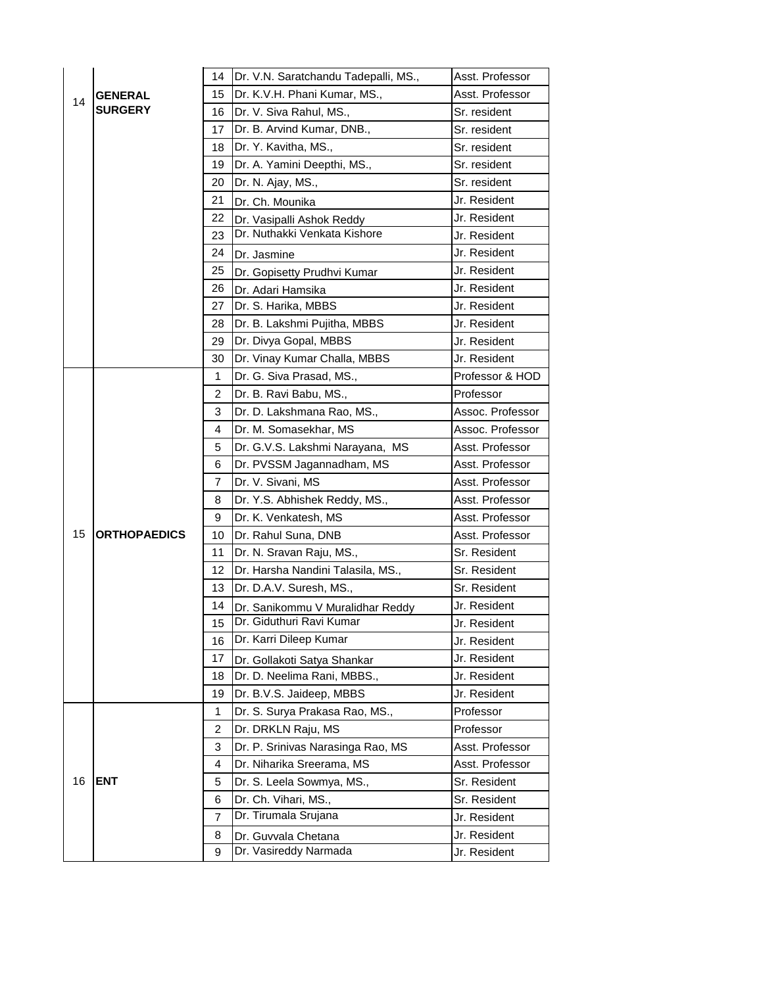|    |                     | 14             | Dr. V.N. Saratchandu Tadepalli, MS., | Asst. Professor  |
|----|---------------------|----------------|--------------------------------------|------------------|
|    | <b>GENERAL</b>      | 15             | Dr. K.V.H. Phani Kumar, MS.,         | Asst. Professor  |
| 14 | <b>SURGERY</b>      | 16             | Dr. V. Siva Rahul, MS.,              | Sr. resident     |
|    |                     | 17             | Dr. B. Arvind Kumar, DNB.,           | Sr. resident     |
|    |                     | 18             | Dr. Y. Kavitha, MS.,                 | Sr. resident     |
|    |                     | 19             | Dr. A. Yamini Deepthi, MS.,          | Sr. resident     |
|    |                     | 20             | Dr. N. Ajay, MS.,                    | Sr. resident     |
|    |                     | 21             | Dr. Ch. Mounika                      | Jr. Resident     |
|    |                     | 22             | Dr. Vasipalli Ashok Reddy            | Jr. Resident     |
|    |                     | 23             | Dr. Nuthakki Venkata Kishore         | Jr. Resident     |
|    |                     | 24             | Dr. Jasmine                          | Jr. Resident     |
|    |                     | 25             | Dr. Gopisetty Prudhvi Kumar          | Jr. Resident     |
|    |                     | 26             | Dr. Adari Hamsika                    | Jr. Resident     |
|    |                     | 27             | Dr. S. Harika, MBBS                  | Jr. Resident     |
|    |                     | 28             | Dr. B. Lakshmi Pujitha, MBBS         | Jr. Resident     |
|    |                     | 29             | Dr. Divya Gopal, MBBS                | Jr. Resident     |
|    |                     | 30             | Dr. Vinay Kumar Challa, MBBS         | Jr. Resident     |
|    |                     | 1              | Dr. G. Siva Prasad, MS.,             | Professor & HOD  |
|    |                     | 2              | Dr. B. Ravi Babu, MS.,               | Professor        |
|    |                     | 3              | Dr. D. Lakshmana Rao, MS.,           | Assoc. Professor |
|    |                     | 4              | Dr. M. Somasekhar, MS                | Assoc. Professor |
|    |                     | 5              | Dr. G.V.S. Lakshmi Narayana, MS      | Asst. Professor  |
|    |                     | 6              | Dr. PVSSM Jagannadham, MS            | Asst. Professor  |
|    |                     | 7              | Dr. V. Sivani, MS                    | Asst. Professor  |
|    |                     | 8              | Dr. Y.S. Abhishek Reddy, MS.,        | Asst. Professor  |
|    |                     | 9              | Dr. K. Venkatesh, MS                 | Asst. Professor  |
| 15 | <b>ORTHOPAEDICS</b> | 10             | Dr. Rahul Suna, DNB                  | Asst. Professor  |
|    |                     | 11             | Dr. N. Sravan Raju, MS.,             | Sr. Resident     |
|    |                     | 12             | Dr. Harsha Nandini Talasila, MS.,    | Sr. Resident     |
|    |                     | 13             | Dr. D.A.V. Suresh, MS.,              | Sr. Resident     |
|    |                     | 14             | Dr. Sanikommu V Muralidhar Reddy     | Jr. Resident     |
|    |                     | 15             | Dr. Giduthuri Ravi Kumar             | Jr. Resident     |
|    |                     | 16             | Dr. Karri Dileep Kumar               | Jr. Resident     |
|    |                     | 17             | Dr. Gollakoti Satya Shankar          | Jr. Resident     |
|    |                     | 18             | Dr. D. Neelima Rani, MBBS.,          | Jr. Resident     |
|    |                     | 19             | Dr. B.V.S. Jaideep, MBBS             | Jr. Resident     |
|    |                     | 1              | Dr. S. Surya Prakasa Rao, MS.,       | Professor        |
|    |                     | $\overline{c}$ | Dr. DRKLN Raju, MS                   | Professor        |
|    |                     | 3              | Dr. P. Srinivas Narasinga Rao, MS    | Asst. Professor  |
|    |                     | 4              | Dr. Niharika Sreerama, MS            | Asst. Professor  |
| 16 | <b>ENT</b>          | 5              | Dr. S. Leela Sowmya, MS.,            | Sr. Resident     |
|    |                     | 6              | Dr. Ch. Vihari, MS.,                 | Sr. Resident     |
|    |                     | 7              | Dr. Tirumala Srujana                 | Jr. Resident     |
|    |                     | 8              | Dr. Guvvala Chetana                  | Jr. Resident     |
|    |                     | 9              | Dr. Vasireddy Narmada                | Jr. Resident     |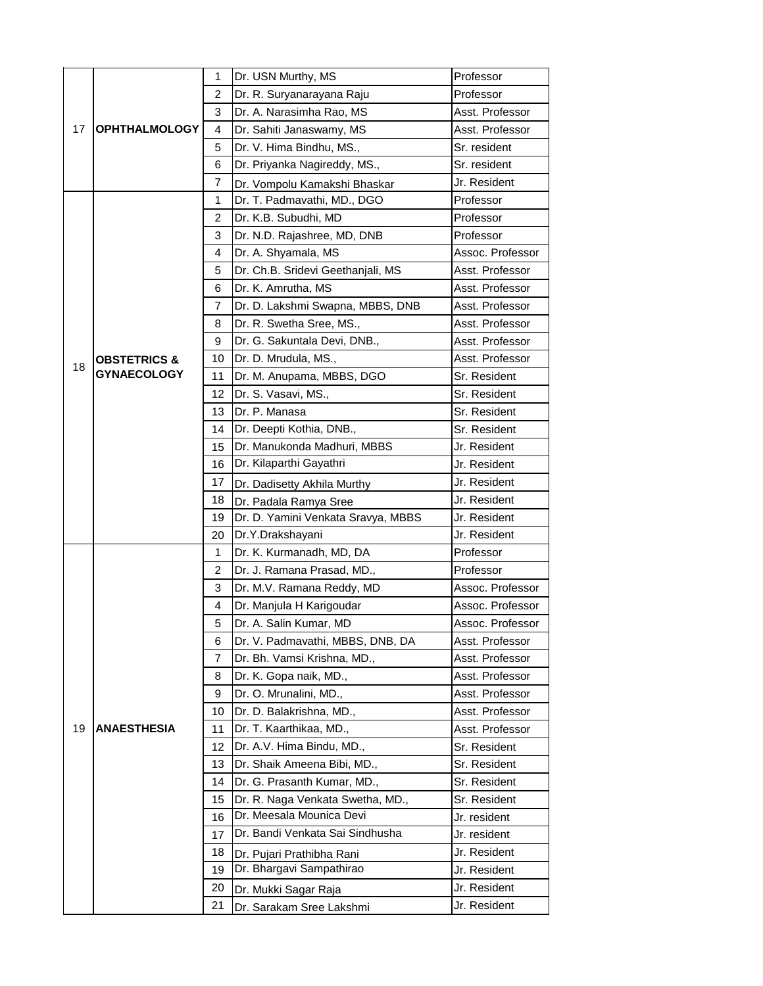|    |                         | 1  | Dr. USN Murthy, MS                 | Professor                                                                                       |
|----|-------------------------|----|------------------------------------|-------------------------------------------------------------------------------------------------|
| 17 |                         | 2  | Dr. R. Suryanarayana Raju          | Professor                                                                                       |
|    |                         | 3  | Dr. A. Narasimha Rao, MS           | Asst. Professor                                                                                 |
|    | <b>OPHTHALMOLOGY</b>    | 4  | Dr. Sahiti Janaswamy, MS           | Asst. Professor                                                                                 |
|    |                         | 5  | Dr. V. Hima Bindhu, MS.,           | Sr. resident                                                                                    |
|    |                         | 6  | Dr. Priyanka Nagireddy, MS.,       | Sr. resident                                                                                    |
|    |                         | 7  | Dr. Vompolu Kamakshi Bhaskar       | Jr. Resident                                                                                    |
|    |                         | 1  | Dr. T. Padmavathi, MD., DGO        | Professor                                                                                       |
|    |                         | 2  | Dr. K.B. Subudhi, MD               | Professor                                                                                       |
|    |                         | 3  | Dr. N.D. Rajashree, MD, DNB        | Professor                                                                                       |
|    |                         | 4  | Dr. A. Shyamala, MS                | Assoc. Professor                                                                                |
|    |                         | 5  | Dr. Ch.B. Sridevi Geethanjali, MS  | Asst. Professor                                                                                 |
|    |                         | 6  | Dr. K. Amrutha, MS                 | Asst. Professor                                                                                 |
|    |                         | 7  | Dr. D. Lakshmi Swapna, MBBS, DNB   | Asst. Professor                                                                                 |
|    |                         | 8  | Dr. R. Swetha Sree, MS.,           | Asst. Professor                                                                                 |
|    |                         | 9  | Dr. G. Sakuntala Devi, DNB.,       | Asst. Professor                                                                                 |
| 18 | <b>OBSTETRICS &amp;</b> | 10 | Dr. D. Mrudula, MS.,               | Asst. Professor                                                                                 |
|    | <b>GYNAECOLOGY</b>      | 11 | Dr. M. Anupama, MBBS, DGO          | Sr. Resident                                                                                    |
|    |                         | 12 | Dr. S. Vasavi, MS.,                | Sr. Resident                                                                                    |
|    |                         | 13 | Dr. P. Manasa                      | Sr. Resident                                                                                    |
|    |                         | 14 | Dr. Deepti Kothia, DNB.,           | Sr. Resident                                                                                    |
|    |                         | 15 | Dr. Manukonda Madhuri, MBBS        | Jr. Resident                                                                                    |
|    |                         | 16 | Dr. Kilaparthi Gayathri            | Jr. Resident                                                                                    |
|    |                         | 17 | Dr. Dadisetty Akhila Murthy        | Jr. Resident                                                                                    |
|    |                         | 18 | Dr. Padala Ramya Sree              | Jr. Resident                                                                                    |
|    |                         | 19 | Dr. D. Yamini Venkata Sravya, MBBS | Jr. Resident                                                                                    |
|    |                         | 20 | Dr.Y.Drakshayani                   | Jr. Resident                                                                                    |
|    |                         | 1  | Dr. K. Kurmanadh, MD, DA           | Professor                                                                                       |
|    |                         | 2  | Dr. J. Ramana Prasad, MD.,         | Professor                                                                                       |
|    |                         | 3  | Dr. M.V. Ramana Reddy, MD          | Assoc. Professor                                                                                |
|    |                         | 4  | Dr. Manjula H Karigoudar           | Assoc. Professor                                                                                |
|    |                         | 5  | Dr. A. Salin Kumar, MD             | Assoc. Professor                                                                                |
|    |                         | 6  | Dr. V. Padmavathi, MBBS, DNB, DA   | Asst. Professor                                                                                 |
|    |                         | 7  | Dr. Bh. Vamsi Krishna, MD.,        | Asst. Professor                                                                                 |
|    |                         | 8  | Dr. K. Gopa naik, MD.,             | Asst. Professor                                                                                 |
|    |                         | 9  | Dr. O. Mrunalini, MD.,             | Asst. Professor                                                                                 |
|    |                         | 10 | Dr. D. Balakrishna, MD.,           | Asst. Professor                                                                                 |
| 19 | <b>ANAESTHESIA</b>      | 11 | Dr. T. Kaarthikaa, MD.,            | Asst. Professor<br>Sr. Resident<br>Sr. Resident<br>Sr. Resident<br>Sr. Resident<br>Jr. resident |
|    |                         | 12 | Dr. A.V. Hima Bindu, MD.,          |                                                                                                 |
|    |                         | 13 | Dr. Shaik Ameena Bibi, MD.,        |                                                                                                 |
|    |                         | 14 | Dr. G. Prasanth Kumar, MD.,        |                                                                                                 |
|    |                         | 15 | Dr. R. Naga Venkata Swetha, MD.,   |                                                                                                 |
|    |                         | 16 | Dr. Meesala Mounica Devi           |                                                                                                 |
|    |                         | 17 | Dr. Bandi Venkata Sai Sindhusha    | Jr. resident                                                                                    |
|    |                         | 18 | Dr. Pujari Prathibha Rani          | Jr. Resident                                                                                    |
|    |                         | 19 | Dr. Bhargavi Sampathirao           | Jr. Resident                                                                                    |
|    |                         | 20 | Dr. Mukki Sagar Raja               | Jr. Resident                                                                                    |
|    |                         | 21 | Dr. Sarakam Sree Lakshmi           | Jr. Resident                                                                                    |